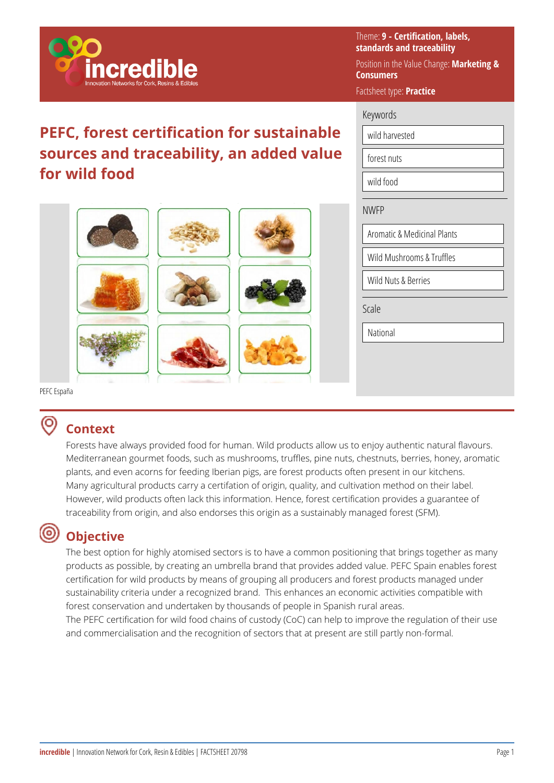

## **PEFC, forest certification for sustainable sources and traceability, an added value for wild food**



| Keywords<br>wild harvested<br>forest nuts<br>wild food<br><b>NWFP</b><br><b>Aromatic &amp; Medicinal Plants</b><br>Wild Mushrooms & Truffles<br>Wild Nuts & Berries | Factsheet type: Practice |       |  |  |
|---------------------------------------------------------------------------------------------------------------------------------------------------------------------|--------------------------|-------|--|--|
|                                                                                                                                                                     |                          |       |  |  |
|                                                                                                                                                                     |                          |       |  |  |
|                                                                                                                                                                     |                          |       |  |  |
|                                                                                                                                                                     |                          |       |  |  |
|                                                                                                                                                                     |                          |       |  |  |
|                                                                                                                                                                     |                          |       |  |  |
|                                                                                                                                                                     |                          |       |  |  |
|                                                                                                                                                                     |                          |       |  |  |
|                                                                                                                                                                     |                          | Scale |  |  |
| National                                                                                                                                                            |                          |       |  |  |

Theme: **9 - Certification, labels, standards and traceability** 

**Consumers** 

Position in the Value Change: **Marketing &** 

PEFC España

#### ൫ **Context**

Forests have always provided food for human. Wild products allow us to enjoy authentic natural flavours. Mediterranean gourmet foods, such as mushrooms, truffles, pine nuts, chestnuts, berries, honey, aromatic plants, and even acorns for feeding Iberian pigs, are forest products often present in our kitchens. Many agricultural products carry a certifation of origin, quality, and cultivation method on their label. However, wild products often lack this information. Hence, forest certification provides a guarantee of traceability from origin, and also endorses this origin as a sustainably managed forest (SFM).

## **Objective**

The best option for highly atomised sectors is to have a common positioning that brings together as many products as possible, by creating an umbrella brand that provides added value. PEFC Spain enables forest certification for wild products by means of grouping all producers and forest products managed under sustainability criteria under a recognized brand. This enhances an economic activities compatible with forest conservation and undertaken by thousands of people in Spanish rural areas.

The PEFC certification for wild food chains of custody (CoC) can help to improve the regulation of their use and commercialisation and the recognition of sectors that at present are still partly non-formal.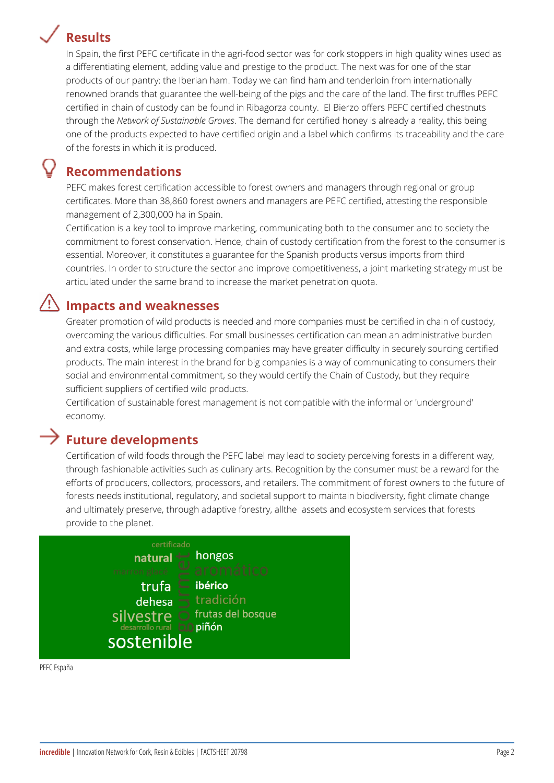# **Results**

In Spain, the first PEFC certificate in the agri-food sector was for cork stoppers in high quality wines used as a differentiating element, adding value and prestige to the product. The next was for one of the star products of our pantry: the Iberian ham. Today we can find ham and tenderloin from internationally renowned brands that guarantee the well-being of the pigs and the care of the land. The first truffles PEFC certified in chain of custody can be found in Ribagorza county. El Bierzo offers PEFC certified chestnuts through the *Network of Sustainable Groves*. The demand for certified honey is already a reality, this being one of the products expected to have certified origin and a label which confirms its traceability and the care of the forests in which it is produced.

### **Recommendations**

PEFC makes forest certification accessible to forest owners and managers through regional or group certificates. More than 38,860 forest owners and managers are PEFC certified, attesting the responsible management of 2,300,000 ha in Spain.

Certification is a key tool to improve marketing, communicating both to the consumer and to society the commitment to forest conservation. Hence, chain of custody certification from the forest to the consumer is essential. Moreover, it constitutes a guarantee for the Spanish products versus imports from third countries. In order to structure the sector and improve competitiveness, a joint marketing strategy must be articulated under the same brand to increase the market penetration quota.

## **Impacts and weaknesses**

Greater promotion of wild products is needed and more companies must be certified in chain of custody, overcoming the various difficulties. For small businesses certification can mean an administrative burden and extra costs, while large processing companies may have greater difficulty in securely sourcing certified products. The main interest in the brand for big companies is a way of communicating to consumers their social and environmental commitment, so they would certify the Chain of Custody, but they require sufficient suppliers of certified wild products.

Certification of sustainable forest management is not compatible with the informal or 'underground' economy.

### **Future developments**

Certification of wild foods through the PEFC label may lead to society perceiving forests in a different way, through fashionable activities such as culinary arts. Recognition by the consumer must be a reward for the efforts of producers, collectors, processors, and retailers. The commitment of forest owners to the future of forests needs institutional, regulatory, and societal support to maintain biodiversity, fight climate change and ultimately preserve, through adaptive forestry, allthe assets and ecosystem services that forests provide to the planet.



PEFC España